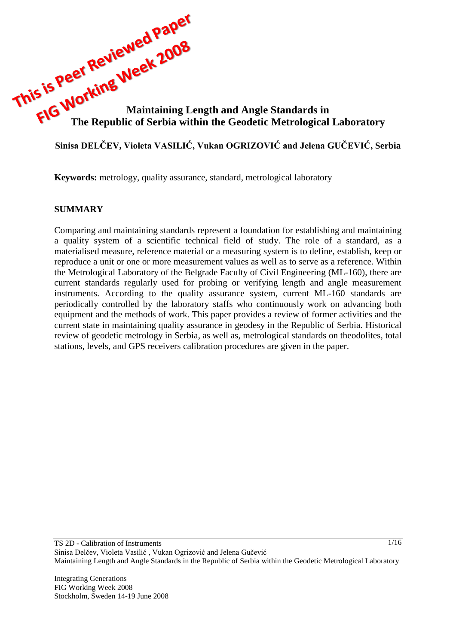

# **Sinisa DELĈEV, Violeta VASILIĆ, Vukan OGRIZOVIĆ and Jelena GUĈEVIĆ, Serbia**

**Keywords:** metrology, quality assurance, standard, metrological laboratory

#### **SUMMARY**

Comparing and maintaining standards represent a foundation for establishing and maintaining a quality system of a scientific technical field of study. The role of a standard, as a materialised measure, reference material or a measuring system is to define, establish, keep or reproduce a unit or one or more measurement values as well as to serve as a reference. Within the Metrological Laboratory of the Belgrade Faculty of Civil Engineering (ML-160), there are current standards regularly used for probing or verifying length and angle measurement instruments. According to the quality assurance system, current ML-160 standards are periodically controlled by the laboratory staffs who continuously work on advancing both equipment and the methods of work. This paper provides a review of former activities and the current state in maintaining quality assurance in geodesy in the Republic of Serbia. Historical review of geodetic metrology in Serbia, as well as, metrological standards on theodolites, total stations, levels, and GPS receivers calibration procedures are given in the paper.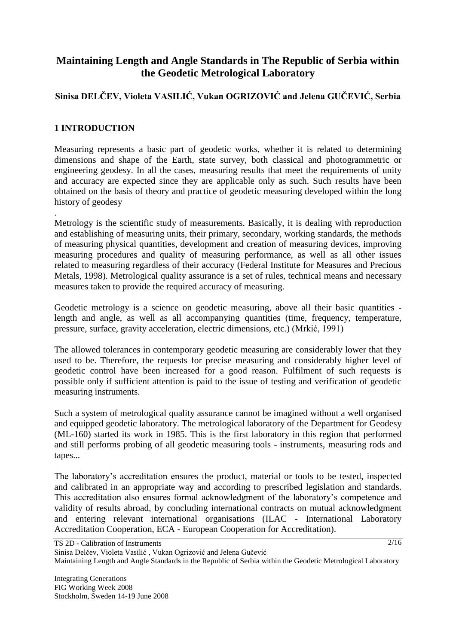# **Maintaining Length and Angle Standards in The Republic of Serbia within the Geodetic Metrological Laboratory**

# **Sinisa DELĈEV, Violeta VASILIĆ, Vukan OGRIZOVIĆ and Jelena GUĈEVIĆ, Serbia**

### **1 INTRODUCTION**

Measuring represents a basic part of geodetic works, whether it is related to determining dimensions and shape of the Earth, state survey, both classical and photogrammetric or engineering geodesy. In all the cases, measuring results that meet the requirements of unity and accuracy are expected since they are applicable only as such. Such results have been obtained on the basis of theory and practice of geodetic measuring developed within the long history of geodesy

. Metrology is the scientific study of measurements. Basically, it is dealing with reproduction and establishing of measuring units, their primary, secondary, working standards, the methods of measuring physical quantities, development and creation of measuring devices, improving measuring procedures and quality of measuring performance, as well as all other issues related to measuring regardless of their accuracy (Federal Institute for Measures and Precious Metals, 1998). Metrological quality assurance is a set of rules, technical means and necessary measures taken to provide the required accuracy of measuring.

Geodetic metrology is a science on geodetic measuring, above all their basic quantities length and angle, as well as all accompanying quantities (time, frequency, temperature, pressure, surface, gravity acceleration, electric dimensions, etc.) (Mrkić, 1991)

The allowed tolerances in contemporary geodetic measuring are considerably lower that they used to be. Therefore, the requests for precise measuring and considerably higher level of geodetic control have been increased for a good reason. Fulfilment of such requests is possible only if sufficient attention is paid to the issue of testing and verification of geodetic measuring instruments.

Such a system of metrological quality assurance cannot be imagined without a well organised and equipped geodetic laboratory. The metrological laboratory of the Department for Geodesy (ML-160) started its work in 1985. This is the first laboratory in this region that performed and still performs probing of all geodetic measuring tools - instruments, measuring rods and tapes...

The laboratory's accreditation ensures the product, material or tools to be tested, inspected and calibrated in an appropriate way and according to prescribed legislation and standards. This accreditation also ensures formal acknowledgment of the laboratory's competence and validity of results abroad, by concluding international contracts on mutual acknowledgment and entering relevant international organisations (ILAC - International Laboratory Accreditation Cooperation, ECA - European Cooperation for Accreditation).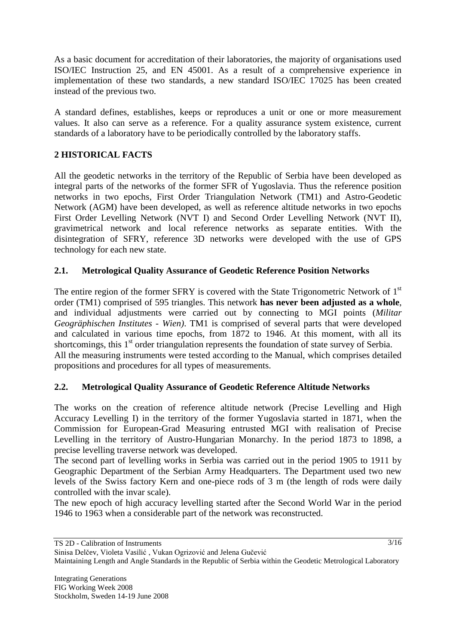As a basic document for accreditation of their laboratories, the majority of organisations used ISO/IEC Instruction 25, and EN 45001. As a result of a comprehensive experience in implementation of these two standards, a new standard ISO/IEC 17025 has been created instead of the previous two.

A standard defines, establishes, keeps or reproduces a unit or one or more measurement values. It also can serve as a reference. For a quality assurance system existence, current standards of a laboratory have to be periodically controlled by the laboratory staffs.

# **2 HISTORICAL FACTS**

All the geodetic networks in the territory of the Republic of Serbia have been developed as integral parts of the networks of the former SFR of Yugoslavia. Thus the reference position networks in two epochs, First Order Triangulation Network (TM1) and Astro-Geodetic Network (AGM) have been developed, as well as reference altitude networks in two epochs First Order Levelling Network (NVT I) and Second Order Levelling Network (NVT II), gravimetrical network and local reference networks as separate entities. With the disintegration of SFRY, reference 3D networks were developed with the use of GPS technology for each new state.

### **2.1. Metrological Quality Assurance of Geodetic Reference Position Networks**

The entire region of the former SFRY is covered with the State Trigonometric Network of  $1<sup>st</sup>$ order (TM1) comprised of 595 triangles. This network **has never been adjusted as a whole**, and individual adjustments were carried out by connecting to MGI points (*Militar Geogräphischen Institutes - Wien)*. TM1 is comprised of several parts that were developed and calculated in various time epochs, from 1872 to 1946. At this moment, with all its shortcomings, this 1<sup>st</sup> order triangulation represents the foundation of state survey of Serbia. All the measuring instruments were tested according to the Manual, which comprises detailed propositions and procedures for all types of measurements.

# **2.2. Metrological Quality Assurance of Geodetic Reference Altitude Networks**

The works on the creation of reference altitude network (Precise Levelling and High Accuracy Levelling I) in the territory of the former Yugoslavia started in 1871, when the Commission for European-Grad Measuring entrusted MGI with realisation of Precise Levelling in the territory of Austro-Hungarian Monarchy. In the period 1873 to 1898, a precise levelling traverse network was developed.

The second part of levelling works in Serbia was carried out in the period 1905 to 1911 by Geographic Department of the Serbian Army Headquarters. The Department used two new levels of the Swiss factory Kern and one-piece rods of 3 m (the length of rods were daily controlled with the invar scale).

The new epoch of high accuracy levelling started after the Second World War in the period 1946 to 1963 when a considerable part of the network was reconstructed.

Sinisa Delčev, Violeta Vasilić , Vukan Ogrizović and Jelena Gučević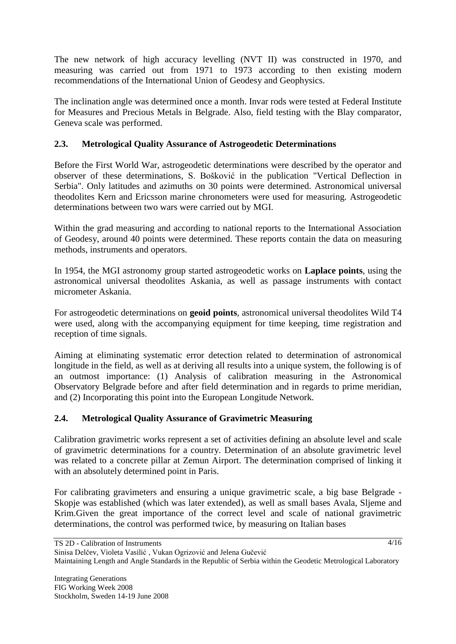The new network of high accuracy levelling (NVT II) was constructed in 1970, and measuring was carried out from 1971 to 1973 according to then existing modern recommendations of the International Union of Geodesy and Geophysics.

The inclination angle was determined once a month. Invar rods were tested at Federal Institute for Measures and Precious Metals in Belgrade. Also, field testing with the Blay comparator, Geneva scale was performed.

# **2.3. Metrological Quality Assurance of Astrogeodetic Determinations**

Before the First World War, astrogeodetic determinations were described by the operator and observer of these determinations, S. Bošković in the publication "Vertical Deflection in Serbia". Only latitudes and azimuths on 30 points were determined. Astronomical universal theodolites Kern and Ericsson marine chronometers were used for measuring. Astrogeodetic determinations between two wars were carried out by MGI.

Within the grad measuring and according to national reports to the International Association of Geodesy, around 40 points were determined. These reports contain the data on measuring methods, instruments and operators.

In 1954, the MGI astronomy group started astrogeodetic works on **Laplace points**, using the astronomical universal theodolites Askania, as well as passage instruments with contact micrometer Askania.

For astrogeodetic determinations on **geoid points**, astronomical universal theodolites Wild T4 were used, along with the accompanying equipment for time keeping, time registration and reception of time signals.

Aiming at eliminating systematic error detection related to determination of astronomical longitude in the field, as well as at deriving all results into a unique system, the following is of an outmost importance: (1) Analysis of calibration measuring in the Astronomical Observatory Belgrade before and after field determination and in regards to prime meridian, and (2) Incorporating this point into the European Longitude Network.

# **2.4. Metrological Quality Assurance of Gravimetric Measuring**

Calibration gravimetric works represent a set of activities defining an absolute level and scale of gravimetric determinations for a country. Determination of an absolute gravimetric level was related to a concrete pillar at Zemun Airport. The determination comprised of linking it with an absolutely determined point in Paris.

For calibrating gravimeters and ensuring a unique gravimetric scale, a big base Belgrade - Skopje was established (which was later extended), as well as small bases Avala, Sljeme and Krim.Given the great importance of the correct level and scale of national gravimetric determinations, the control was performed twice, by measuring on Italian bases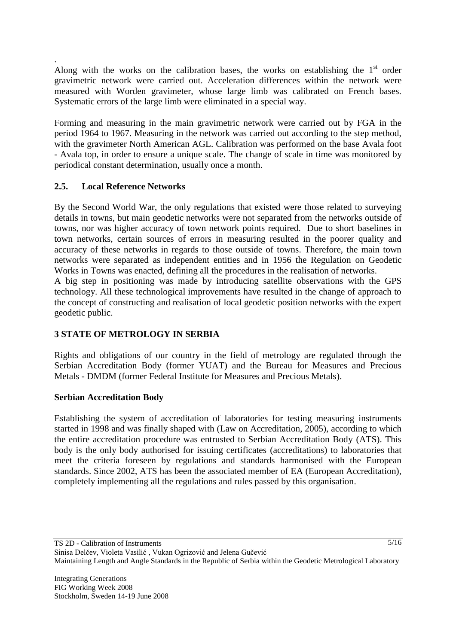. Along with the works on the calibration bases, the works on establishing the  $1<sup>st</sup>$  order gravimetric network were carried out. Acceleration differences within the network were measured with Worden gravimeter, whose large limb was calibrated on French bases. Systematic errors of the large limb were eliminated in a special way.

Forming and measuring in the main gravimetric network were carried out by FGA in the period 1964 to 1967. Measuring in the network was carried out according to the step method, with the gravimeter North American AGL. Calibration was performed on the base Avala foot - Avala top, in order to ensure a unique scale. The change of scale in time was monitored by periodical constant determination, usually once a month.

### **2.5. Local Reference Networks**

By the Second World War, the only regulations that existed were those related to surveying details in towns, but main geodetic networks were not separated from the networks outside of towns, nor was higher accuracy of town network points required. Due to short baselines in town networks, certain sources of errors in measuring resulted in the poorer quality and accuracy of these networks in regards to those outside of towns. Therefore, the main town networks were separated as independent entities and in 1956 the Regulation on Geodetic Works in Towns was enacted, defining all the procedures in the realisation of networks.

A big step in positioning was made by introducing satellite observations with the GPS technology. All these technological improvements have resulted in the change of approach to the concept of constructing and realisation of local geodetic position networks with the expert geodetic public.

### **3 STATE OF METROLOGY IN SERBIA**

Rights and obligations of our country in the field of metrology are regulated through the Serbian Accreditation Body (former YUAT) and the Bureau for Measures and Precious Metals - DMDM (former Federal Institute for Measures and Precious Metals).

### **Serbian Accreditation Body**

Establishing the system of accreditation of laboratories for testing measuring instruments started in 1998 and was finally shaped with (Law on Accreditation, 2005), according to which the entire accreditation procedure was entrusted to Serbian Accreditation Body (ATS). This body is the only body authorised for issuing certificates (accreditations) to laboratories that meet the criteria foreseen by regulations and standards harmonised with the European standards. Since 2002, ATS has been the associated member of EA (European Accreditation), completely implementing all the regulations and rules passed by this organisation.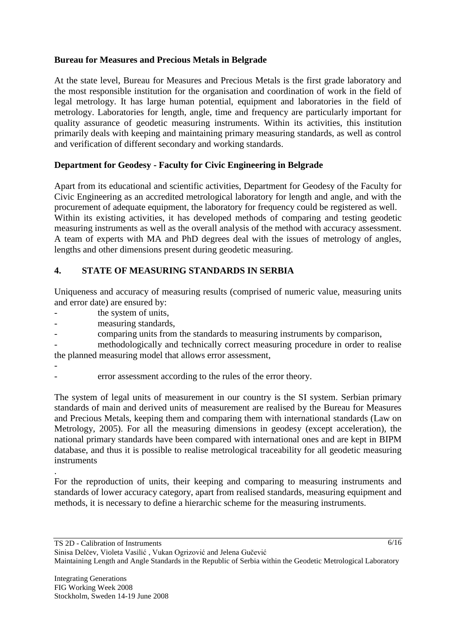### **Bureau for Measures and Precious Metals in Belgrade**

At the state level, Bureau for Measures and Precious Metals is the first grade laboratory and the most responsible institution for the organisation and coordination of work in the field of legal metrology. It has large human potential, equipment and laboratories in the field of metrology. Laboratories for length, angle, time and frequency are particularly important for quality assurance of geodetic measuring instruments. Within its activities, this institution primarily deals with keeping and maintaining primary measuring standards, as well as control and verification of different secondary and working standards.

### **Department for Geodesy - Faculty for Civic Engineering in Belgrade**

Apart from its educational and scientific activities, Department for Geodesy of the Faculty for Civic Engineering as an accredited metrological laboratory for length and angle, and with the procurement of adequate equipment, the laboratory for frequency could be registered as well. Within its existing activities, it has developed methods of comparing and testing geodetic measuring instruments as well as the overall analysis of the method with accuracy assessment. A team of experts with MA and PhD degrees deal with the issues of metrology of angles, lengths and other dimensions present during geodetic measuring.

### **4. STATE OF MEASURING STANDARDS IN SERBIA**

Uniqueness and accuracy of measuring results (comprised of numeric value, measuring units and error date) are ensured by:

- the system of units,
- measuring standards,
- comparing units from the standards to measuring instruments by comparison,

methodologically and technically correct measuring procedure in order to realise the planned measuring model that allows error assessment,

- -
- error assessment according to the rules of the error theory.

The system of legal units of measurement in our country is the SI system. Serbian primary standards of main and derived units of measurement are realised by the Bureau for Measures and Precious Metals, keeping them and comparing them with international standards (Law on Metrology, 2005). For all the measuring dimensions in geodesy (except acceleration), the national primary standards have been compared with international ones and are kept in BIPM database, and thus it is possible to realise metrological traceability for all geodetic measuring instruments

. For the reproduction of units, their keeping and comparing to measuring instruments and standards of lower accuracy category, apart from realised standards, measuring equipment and methods, it is necessary to define a hierarchic scheme for the measuring instruments.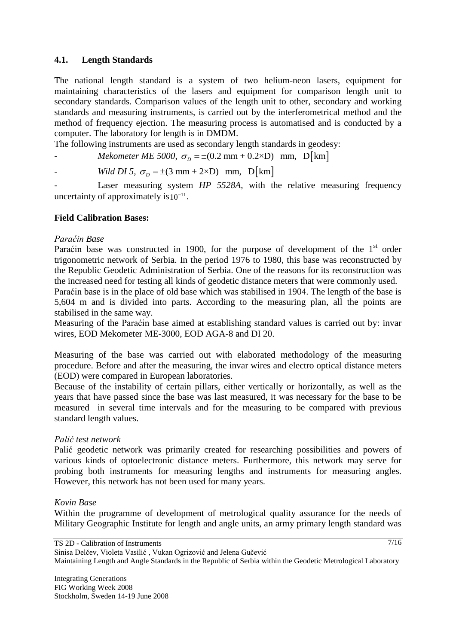### **4.1. Length Standards**

The national length standard is a system of two helium-neon lasers, equipment for maintaining characteristics of the lasers and equipment for comparison length unit to secondary standards. Comparison values of the length unit to other, secondary and working standards and measuring instruments, is carried out by the interferometrical method and the method of frequency ejection. The measuring process is automatised and is conducted by a computer. The laboratory for length is in DMDM.

The following instruments are used as secondary length standards in geodesy:

*Mekometer ME 5000*,  $\sigma_p = \pm (0.2 \text{ mm} + 0.2 \times D) \text{ mm}$ , D[km]

*Wild DI 5,*  $\sigma_p = \pm (3 \text{ mm} + 2 \times \text{D}) \text{ mm}$ , D[km]

Laser measuring system *HP 5528A*, with the relative measuring frequency uncertainty of approximately is  $10^{-11}$ .

#### **Field Calibration Bases:**

#### *Paraćin Base*

Paraćin base was constructed in 1900, for the purpose of development of the  $1<sup>st</sup>$  order trigonometric network of Serbia. In the period 1976 to 1980, this base was reconstructed by the Republic Geodetic Administration of Serbia. One of the reasons for its reconstruction was the increased need for testing all kinds of geodetic distance meters that were commonly used.

Paraćin base is in the place of old base which was stabilised in 1904. The length of the base is 5,604 m and is divided into parts. According to the measuring plan, all the points are stabilised in the same way.

Measuring of the Paraćin base aimed at establishing standard values is carried out by: invar wires, EOD Mekometer ME-3000, EOD AGA-8 and DI 20.

Measuring of the base was carried out with elaborated methodology of the measuring procedure. Before and after the measuring, the invar wires and electro optical distance meters (EOD) were compared in European laboratories.

Because of the instability of certain pillars, either vertically or horizontally, as well as the years that have passed since the base was last measured, it was necessary for the base to be measured in several time intervals and for the measuring to be compared with previous standard length values.

### *Palić test network*

Palić geodetic network was primarily created for researching possibilities and powers of various kinds of optoelectronic distance meters. Furthermore, this network may serve for probing both instruments for measuring lengths and instruments for measuring angles. However, this network has not been used for many years.

#### *Kovin Base*

Within the programme of development of metrological quality assurance for the needs of Military Geographic Institute for length and angle units, an army primary length standard was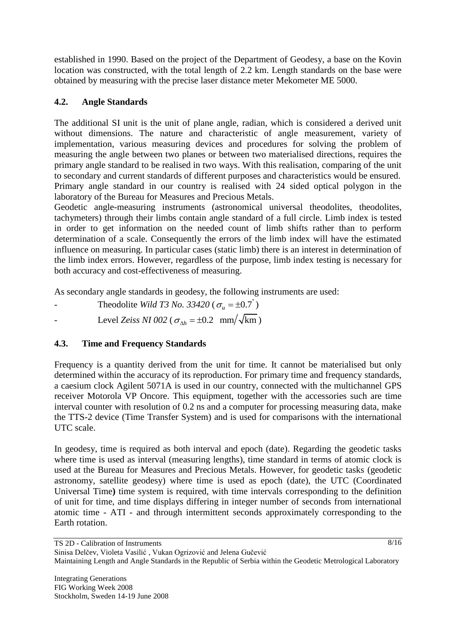established in 1990. Based on the project of the Department of Geodesy, a base on the Kovin location was constructed, with the total length of 2.2 km. Length standards on the base were obtained by measuring with the precise laser distance meter Mekometer ME 5000.

# **4.2. Angle Standards**

The additional SI unit is the unit of plane angle, radian, which is considered a derived unit without dimensions. The nature and characteristic of angle measurement, variety of implementation, various measuring devices and procedures for solving the problem of measuring the angle between two planes or between two materialised directions, requires the primary angle standard to be realised in two ways. With this realisation, comparing of the unit to secondary and current standards of different purposes and characteristics would be ensured. Primary angle standard in our country is realised with 24 sided optical polygon in the laboratory of the Bureau for Measures and Precious Metals.

Geodetic angle-measuring instruments (astronomical universal theodolites, theodolites, tachymeters) through their limbs contain angle standard of a full circle. Limb index is tested in order to get information on the needed count of limb shifts rather than to perform determination of a scale. Consequently the errors of the limb index will have the estimated influence on measuring. In particular cases (static limb) there is an interest in determination of the limb index errors. However, regardless of the purpose, limb index testing is necessary for both accuracy and cost-effectiveness of measuring.

As secondary angle standards in geodesy, the following instruments are used:

- Theodolite *Wild T3 No. 33420* ( $\sigma_u = \pm 0.7$ ) - Level *Zeiss NI 002* ( $\sigma_{\Delta h} = \pm 0.2$  mm/ $\sqrt{\text{km}}$ )

# **4.3. Time and Frequency Standards**

Frequency is a quantity derived from the unit for time. It cannot be materialised but only determined within the accuracy of its reproduction. For primary time and frequency standards, a caesium clock Agilent 5071A is used in our country, connected with the multichannel GPS receiver Motorola VP Oncore. This equipment, together with the accessories such are time interval counter with resolution of 0.2 ns and a computer for processing measuring data, make the TTS-2 device (Time Transfer System) and is used for comparisons with the international UTC scale.

In geodesy, time is required as both interval and epoch (date). Regarding the geodetic tasks where time is used as interval (measuring lengths), time standard in terms of atomic clock is used at the Bureau for Measures and Precious Metals. However, for geodetic tasks (geodetic astronomy, satellite geodesy) where time is used as epoch (date), the UTC (Coordinated Universal Time**)** time system is required, with time intervals corresponding to the definition of unit for time, and time displays differing in integer number of seconds from international atomic time - ATI - and through intermittent seconds approximately corresponding to the Earth rotation.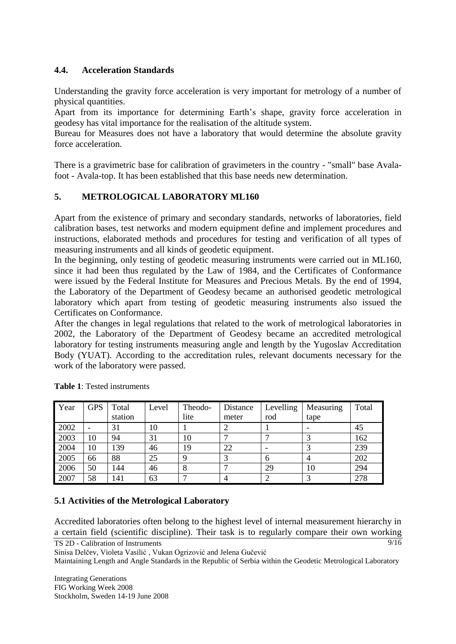### **4.4. Acceleration Standards**

Understanding the gravity force acceleration is very important for metrology of a number of physical quantities.

Apart from its importance for determining Earth's shape, gravity force acceleration in geodesy has vital importance for the realisation of the altitude system.

Bureau for Measures does not have a laboratory that would determine the absolute gravity force acceleration.

There is a gravimetric base for calibration of gravimeters in the country - "small" base Avalafoot - Avala-top. It has been established that this base needs new determination.

# **5. METROLOGICAL LABORATORY ML160**

Apart from the existence of primary and secondary standards, networks of laboratories, field calibration bases, test networks and modern equipment define and implement procedures and instructions, elaborated methods and procedures for testing and verification of all types of measuring instruments and all kinds of geodetic equipment.

In the beginning, only testing of geodetic measuring instruments were carried out in ML160, since it had been thus regulated by the Law of 1984, and the Certificates of Conformance were issued by the Federal Institute for Measures and Precious Metals. By the end of 1994, the Laboratory of the Department of Geodesy became an authorised geodetic metrological laboratory which apart from testing of geodetic measuring instruments also issued the Certificates on Conformance.

After the changes in legal regulations that related to the work of metrological laboratories in 2002, the Laboratory of the Department of Geodesy became an accredited metrological laboratory for testing instruments measuring angle and length by the Yugoslav Accreditation Body (YUAT). According to the accreditation rules, relevant documents necessary for the work of the laboratory were passed.

| Year | <b>GPS</b> | Total   | Level | Theodo- | Distance | Levelling | Measuring | Total |
|------|------------|---------|-------|---------|----------|-----------|-----------|-------|
|      |            | station |       | lite    | meter    | rod       | tape      |       |
| 2002 |            | 31      | 10    |         |          |           |           | 45    |
| 2003 | 10         | 94      | 31    | 10      |          |           |           | 162   |
| 2004 | 10         | 139     | 46    | 19      | 22       |           |           | 239   |
| 2005 | 66         | 88      | 25    | Q       |          | 6         | 4         | 202   |
| 2006 | 50         | 144     | 46    | 8       |          | 29        | 10        | 294   |
| 2007 | 58         | 141     | 63    |         |          | 2         |           | 278   |

**Table 1**: Tested instruments

### **5.1 Activities of the Metrological Laboratory**

TS 2D - Calibration of Instruments 9/16 Accredited laboratories often belong to the highest level of internal measurement hierarchy in a certain field (scientific discipline). Their task is to regularly compare their own working

Sinisa Delčev, Violeta Vasilić , Vukan Ogrizović and Jelena Gučević

Maintaining Length and Angle Standards in the Republic of Serbia within the Geodetic Metrological Laboratory

Integrating Generations FIG Working Week 2008 Stockholm, Sweden 14-19 June 2008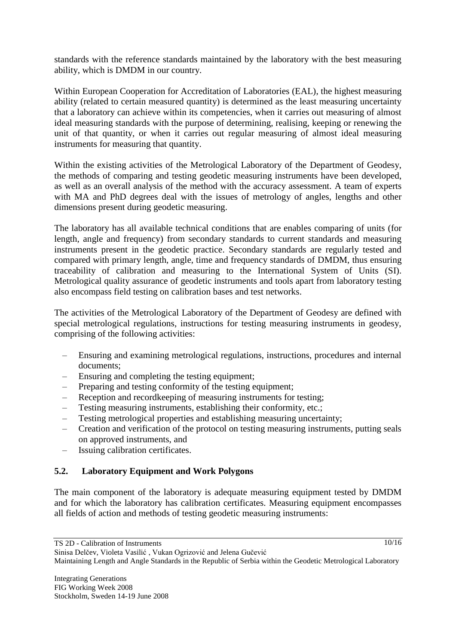standards with the reference standards maintained by the laboratory with the best measuring ability, which is DMDM in our country.

Within European Cooperation for Accreditation of Laboratories (EAL), the highest measuring ability (related to certain measured quantity) is determined as the least measuring uncertainty that a laboratory can achieve within its competencies, when it carries out measuring of almost ideal measuring standards with the purpose of determining, realising, keeping or renewing the unit of that quantity, or when it carries out regular measuring of almost ideal measuring instruments for measuring that quantity.

Within the existing activities of the Metrological Laboratory of the Department of Geodesy, the methods of comparing and testing geodetic measuring instruments have been developed, as well as an overall analysis of the method with the accuracy assessment. A team of experts with MA and PhD degrees deal with the issues of metrology of angles, lengths and other dimensions present during geodetic measuring.

The laboratory has all available technical conditions that are enables comparing of units (for length, angle and frequency) from secondary standards to current standards and measuring instruments present in the geodetic practice. Secondary standards are regularly tested and compared with primary length, angle, time and frequency standards of DMDM, thus ensuring traceability of calibration and measuring to the International System of Units (SI). Metrological quality assurance of geodetic instruments and tools apart from laboratory testing also encompass field testing on calibration bases and test networks.

The activities of the Metrological Laboratory of the Department of Geodesy are defined with special metrological regulations, instructions for testing measuring instruments in geodesy, comprising of the following activities:

- Ensuring and examining metrological regulations, instructions, procedures and internal documents;
- Ensuring and completing the testing equipment;
- Preparing and testing conformity of the testing equipment;
- Reception and recordkeeping of measuring instruments for testing;
- Testing measuring instruments, establishing their conformity, etc.;
- Testing metrological properties and establishing measuring uncertainty;
- Creation and verification of the protocol on testing measuring instruments, putting seals on approved instruments, and
- Issuing calibration certificates.

# **5.2. Laboratory Equipment and Work Polygons**

The main component of the laboratory is adequate measuring equipment tested by DMDM and for which the laboratory has calibration certificates. Measuring equipment encompasses all fields of action and methods of testing geodetic measuring instruments:

 $10/16$ 

Sinisa Delčev, Violeta Vasilić , Vukan Ogrizović and Jelena Gučević Maintaining Length and Angle Standards in the Republic of Serbia within the Geodetic Metrological Laboratory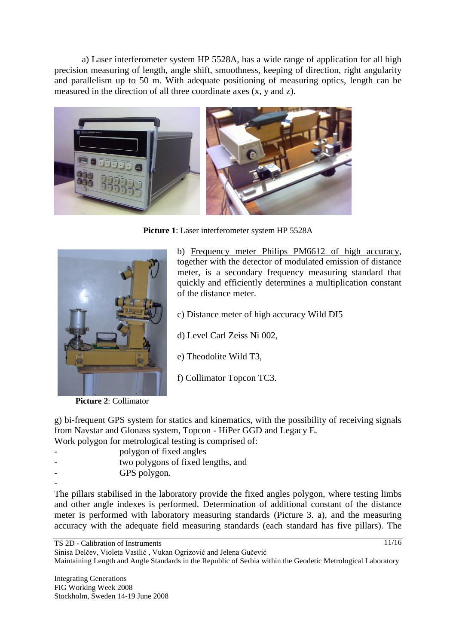a) Laser interferometer system HP 5528A, has a wide range of application for all high precision measuring of length, angle shift, smoothness, keeping of direction, right angularity and parallelism up to 50 m. With adequate positioning of measuring optics, length can be measured in the direction of all three coordinate axes (x, y and z).



**Picture 1**: Laser interferometer system HP 5528A



b) Frequency meter Philips PM6612 of high accuracy, together with the detector of modulated emission of distance meter, is a secondary frequency measuring standard that quickly and efficiently determines a multiplication constant of the distance meter.

- c) Distance meter of high accuracy Wild DI5
- d) Level Carl Zeiss Ni 002,
- e) Theodolite Wild T3,
- f) Collimator Topcon TC3.

**Picture 2**: Collimator

g) bi-frequent GPS system for statics and kinematics, with the possibility of receiving signals from Navstar and Glonass system, Topcon - HiPer GGD and Legacy E.

Work polygon for metrological testing is comprised of:

| polygon of fixed angles            |
|------------------------------------|
| two polygons of fixed lengths, and |
| GPS polygon.                       |
|                                    |

The pillars stabilised in the laboratory provide the fixed angles polygon, where testing limbs and other angle indexes is performed. Determination of additional constant of the distance meter is performed with laboratory measuring standards (Picture 3. a), and the measuring accuracy with the adequate field measuring standards (each standard has five pillars). The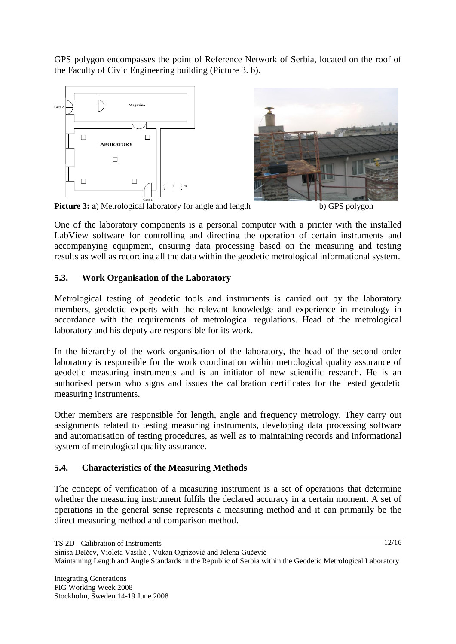GPS polygon encompasses the point of Reference Network of Serbia, located on the roof of the Faculty of Civic Engineering building (Picture 3. b).





**Picture 3: a**) Metrological laboratory for angle and length b) GPS polygon

One of the laboratory components is a personal computer with a printer with the installed LabView software for controlling and directing the operation of certain instruments and accompanying equipment, ensuring data processing based on the measuring and testing results as well as recording all the data within the geodetic metrological informational system.

# **5.3. Work Organisation of the Laboratory**

Metrological testing of geodetic tools and instruments is carried out by the laboratory members, geodetic experts with the relevant knowledge and experience in metrology in accordance with the requirements of metrological regulations. Head of the metrological laboratory and his deputy are responsible for its work.

In the hierarchy of the work organisation of the laboratory, the head of the second order laboratory is responsible for the work coordination within metrological quality assurance of geodetic measuring instruments and is an initiator of new scientific research. He is an authorised person who signs and issues the calibration certificates for the tested geodetic measuring instruments.

Other members are responsible for length, angle and frequency metrology. They carry out assignments related to testing measuring instruments, developing data processing software and automatisation of testing procedures, as well as to maintaining records and informational system of metrological quality assurance.

# **5.4. Characteristics of the Measuring Methods**

The concept of verification of a measuring instrument is a set of operations that determine whether the measuring instrument fulfils the declared accuracy in a certain moment. A set of operations in the general sense represents a measuring method and it can primarily be the direct measuring method and comparison method.

 $12/16$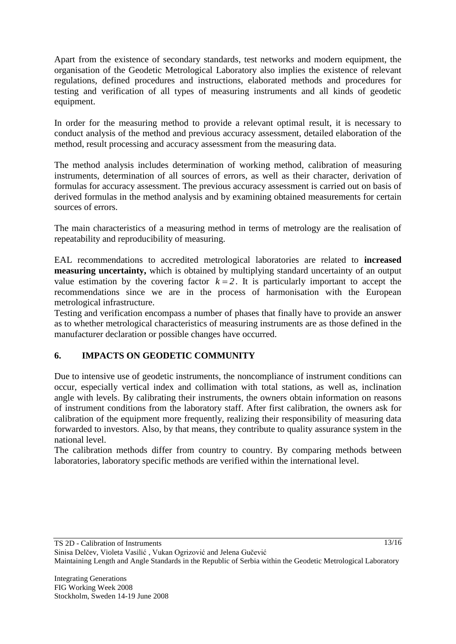Apart from the existence of secondary standards, test networks and modern equipment, the organisation of the Geodetic Metrological Laboratory also implies the existence of relevant regulations, defined procedures and instructions, elaborated methods and procedures for testing and verification of all types of measuring instruments and all kinds of geodetic equipment.

In order for the measuring method to provide a relevant optimal result, it is necessary to conduct analysis of the method and previous accuracy assessment, detailed elaboration of the method, result processing and accuracy assessment from the measuring data.

The method analysis includes determination of working method, calibration of measuring instruments, determination of all sources of errors, as well as their character, derivation of formulas for accuracy assessment. The previous accuracy assessment is carried out on basis of derived formulas in the method analysis and by examining obtained measurements for certain sources of errors.

The main characteristics of a measuring method in terms of metrology are the realisation of repeatability and reproducibility of measuring.

EAL recommendations to accredited metrological laboratories are related to **increased measuring uncertainty,** which is obtained by multiplying standard uncertainty of an output value estimation by the covering factor  $k = 2$ . It is particularly important to accept the recommendations since we are in the process of harmonisation with the European metrological infrastructure.

Testing and verification encompass a number of phases that finally have to provide an answer as to whether metrological characteristics of measuring instruments are as those defined in the manufacturer declaration or possible changes have occurred.

# **6. IMPACTS ON GEODETIC COMMUNITY**

Due to intensive use of geodetic instruments, the noncompliance of instrument conditions can occur, especially vertical index and collimation with total stations, as well as, inclination angle with levels. By calibrating their instruments, the owners obtain information on reasons of instrument conditions from the laboratory staff. After first calibration, the owners ask for calibration of the equipment more frequently, realizing their responsibility of measuring data forwarded to investors. Also, by that means, they contribute to quality assurance system in the national level.

The calibration methods differ from country to country. By comparing methods between laboratories, laboratory specific methods are verified within the international level.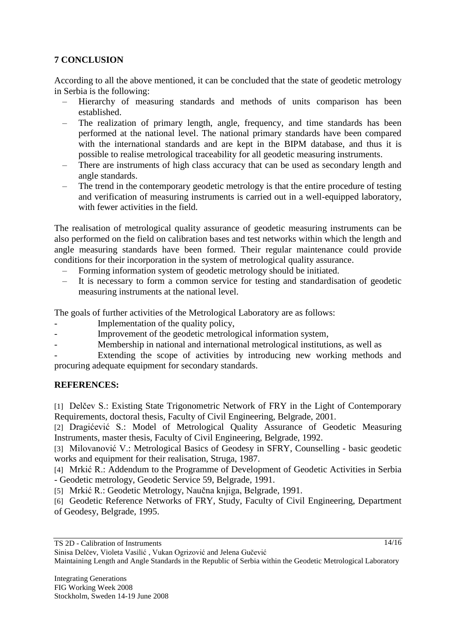# **7 CONCLUSION**

According to all the above mentioned, it can be concluded that the state of geodetic metrology in Serbia is the following:

- Hierarchy of measuring standards and methods of units comparison has been established.
- The realization of primary length, angle, frequency, and time standards has been performed at the national level. The national primary standards have been compared with the international standards and are kept in the BIPM database, and thus it is possible to realise metrological traceability for all geodetic measuring instruments.
- There are instruments of high class accuracy that can be used as secondary length and angle standards.
- The trend in the contemporary geodetic metrology is that the entire procedure of testing and verification of measuring instruments is carried out in a well-equipped laboratory, with fewer activities in the field.

The realisation of metrological quality assurance of geodetic measuring instruments can be also performed on the field on calibration bases and test networks within which the length and angle measuring standards have been formed. Their regular maintenance could provide conditions for their incorporation in the system of metrological quality assurance.

- Forming information system of geodetic metrology should be initiated.
- It is necessary to form a common service for testing and standardisation of geodetic measuring instruments at the national level.

The goals of further activities of the Metrological Laboratory are as follows:

- Implementation of the quality policy,
	- Improvement of the geodetic metrological information system,
	- Membership in national and international metrological institutions, as well as

Extending the scope of activities by introducing new working methods and procuring adequate equipment for secondary standards.

### **REFERENCES:**

[1] Delčev S.: Existing State Trigonometric Network of FRY in the Light of Contemporary Requirements, doctoral thesis, Faculty of Civil Engineering, Belgrade, 2001.

[2] Dragićević S.: Model of Metrological Quality Assurance of Geodetic Measuring Instruments, master thesis, Faculty of Civil Engineering, Belgrade, 1992.

[3] Milovanović V.: Metrological Basics of Geodesy in SFRY, Counselling - basic geodetic works and equipment for their realisation, Struga, 1987.

[4] Mrkić R.: Addendum to the Programme of Development of Geodetic Activities in Serbia - Geodetic metrology, Geodetic Service 59, Belgrade, 1991.

[5] Mrkić R.: Geodetic Metrology, Naučna knjiga, Belgrade, 1991.

[6] Geodetic Reference Networks of FRY, Study, Faculty of Civil Engineering, Department of Geodesy, Belgrade, 1995.

Sinisa Delčev, Violeta Vasilić , Vukan Ogrizović and Jelena Gučević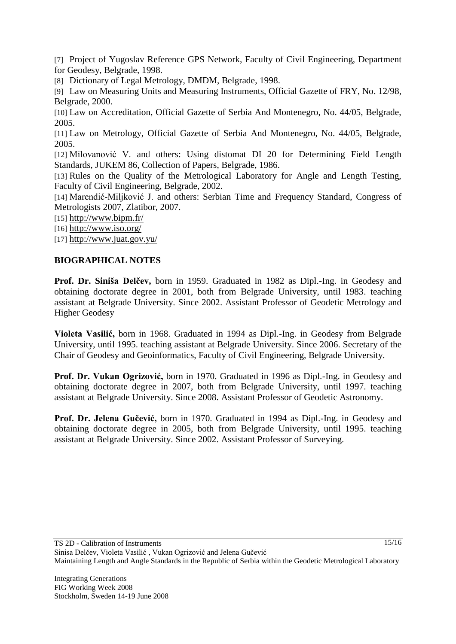[7] Project of Yugoslav Reference GPS Network, Faculty of Civil Engineering, Department for Geodesy, Belgrade, 1998.

[8] Dictionary of Legal Metrology, DMDM, Belgrade, 1998.

[9] Law on Measuring Units and Measuring Instruments, Official Gazette of FRY, No. 12/98, Belgrade, 2000.

[10] Law on Accreditation, Official Gazette of Serbia And Montenegro, No. 44/05, Belgrade, 2005.

[11] Law on Metrology, Official Gazette of Serbia And Montenegro, No. 44/05, Belgrade, 2005.

[12] Milovanović V. and others: Using distomat DI 20 for Determining Field Length Standards, JUKEM 86, Collection of Papers, Belgrade, 1986.

[13] Rules on the Quality of the Metrological Laboratory for Angle and Length Testing, Faculty of Civil Engineering, Belgrade, 2002.

[14] Marendić-Miljković J. and others: Serbian Time and Frequency Standard, Congress of Metrologists 2007, Zlatibor, 2007.

[15] <http://www.bipm.fr/>

[16]  $\frac{http://www.iso.org/}{http://www.iso.org/})$  $\frac{http://www.iso.org/}{http://www.iso.org/})$  $\frac{http://www.iso.org/}{http://www.iso.org/})$ 

[17] <http://www.juat.gov.yu/>

### **BIOGRAPHICAL NOTES**

**Prof. Dr. Siniša Delĉev,** born in 1959. Graduated in 1982 as Dipl.-Ing. in Geodesy and obtaining doctorate degree in 2001, both from Belgrade University, until 1983. teaching assistant at Belgrade University. Since 2002. Assistant Professor of Geodetic Metrology and Higher Geodesy

**Violeta Vasilić,** born in 1968. Graduated in 1994 as Dipl.-Ing. in Geodesy from Belgrade University, until 1995. teaching assistant at Belgrade University. Since 2006. Secretary of the Chair of Geodesy and Geoinformatics, Faculty of Civil Engineering, Belgrade University.

**Prof. Dr. Vukan Ogrizović,** born in 1970. Graduated in 1996 as Dipl.-Ing. in Geodesy and obtaining doctorate degree in 2007, both from Belgrade University, until 1997. teaching assistant at Belgrade University. Since 2008. Assistant Professor of Geodetic Astronomy.

**Prof. Dr. Jelena Guĉević,** born in 1970. Graduated in 1994 as Dipl.-Ing. in Geodesy and obtaining doctorate degree in 2005, both from Belgrade University, until 1995. teaching assistant at Belgrade University. Since 2002. Assistant Professor of Surveying.